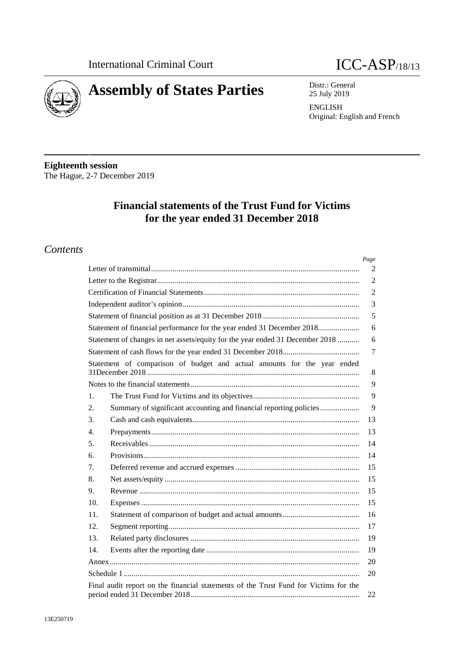



Distr.: General 25 July 2019

**ENGLISH** Original: English and French

**Eighteenth session** The Hague, 2-7 December 2019

# **Financial statements of the Trust Fund for Victims** for the year ended 31 December 2018

### **Contents**

|                                                                                                                       | Page           |
|-----------------------------------------------------------------------------------------------------------------------|----------------|
|                                                                                                                       | 2              |
|                                                                                                                       | $\overline{c}$ |
|                                                                                                                       | $\overline{c}$ |
|                                                                                                                       | 3              |
|                                                                                                                       | 5              |
| Statement of financial performance for the year ended 31 December 2018                                                | 6              |
| Statement of changes in net assets/equity for the year ended 31 December 2018                                         | 6              |
|                                                                                                                       | $\tau$         |
| Statement of comparison of budget and actual amounts for the year ended                                               | 8              |
|                                                                                                                       | 9              |
| 1.                                                                                                                    | 9              |
| Summary of significant accounting and financial reporting policies<br>2.                                              | 9              |
| 3.                                                                                                                    | 13             |
| 4.                                                                                                                    | 13             |
| 5.                                                                                                                    | 14             |
| 6.                                                                                                                    | 14             |
| 7.                                                                                                                    | 15             |
| 8.                                                                                                                    | 15             |
| 9.                                                                                                                    | 15             |
| 10.                                                                                                                   | 15             |
| 11.                                                                                                                   | 16             |
| 12.                                                                                                                   | 17             |
| 13.                                                                                                                   | 19             |
| 14.                                                                                                                   | 19             |
|                                                                                                                       | 20             |
|                                                                                                                       | 20             |
| Final audit report on the financial statements of the Trust Fund for Victims for the<br>period ended 31 December 2018 | 22             |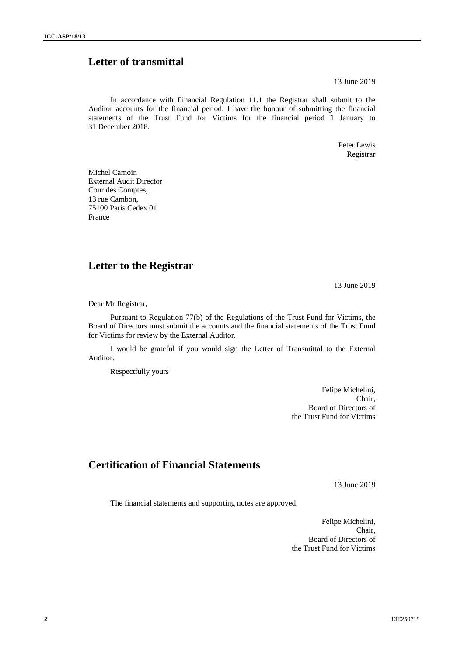# **Letter of transmittal**

13 June 2019

In accordance with Financial Regulation 11.1 the Registrar shall submit to the Auditor accounts for the financial period. I have the honour of submitting the financial statements of the Trust Fund for Victims for the financial period 1 January to 31 December 2018.

> Peter Lewis Registrar

Michel Camoin External Audit Director Cour des Comptes, 13 rue Cambon, 75100 Paris Cedex 01 France

### **Letter to the Registrar**

13 June 2019

Dear Mr Registrar,

Pursuant to Regulation 77(b) of the Regulations of the Trust Fund for Victims, the Board of Directors must submit the accounts and the financial statements of the Trust Fund for Victims for review by the External Auditor.

I would be grateful if you would sign the Letter of Transmittal to the External Auditor.

Respectfully yours

Felipe Michelini, Chair, Board of Directors of the Trust Fund for Victims

### **Certification of Financial Statements**

13 June 2019

The financial statements and supporting notes are approved.

Felipe Michelini, Chair, Board of Directors of the Trust Fund for Victims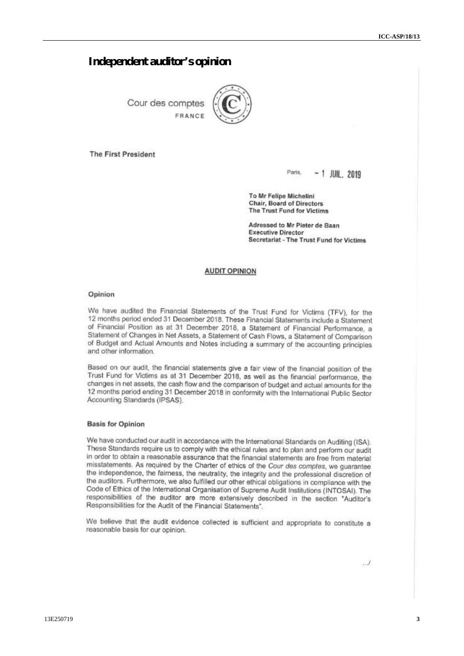### **Independent auditor's opinion**

Cour des comptes FRANCE



**The First President** 

Paris,  $-1$  JUIL, 2019

To Mr Felipe Michelini **Chair, Board of Directors** The Trust Fund for Victims

Adressed to Mr Pieter de Baan **Executive Director Secretariat - The Trust Fund for Victims** 

#### **AUDIT OPINION**

#### Opinion

We have audited the Financial Statements of the Trust Fund for Victims (TFV), for the 12 months period ended 31 December 2018. These Financial Statements include a Statement of Financial Position as at 31 December 2018, a Statement of Financial Performance, a Statement of Changes in Net Assets, a Statement of Cash Flows, a Statement of Comparison of Budget and Actual Amounts and Notes including a summary of the accounting principles and other information.

Based on our audit, the financial statements give a fair view of the financial position of the Trust Fund for Victims as at 31 December 2018, as well as the financial performance, the changes in net assets, the cash flow and the comparison of budget and actual amounts for the 12 months period ending 31 December 2018 in conformity with the International Public Sector Accounting Standards (IPSAS).

#### **Basis for Opinion**

We have conducted our audit in accordance with the International Standards on Auditing (ISA). These Standards require us to comply with the ethical rules and to plan and perform our audit in order to obtain a reasonable assurance that the financial statements are free from material misstatements. As required by the Charter of ethics of the Cour des comptes, we quarantee the independence, the fairness, the neutrality, the integrity and the professional discretion of the auditors. Furthermore, we also fulfilled our other ethical obligations in compliance with the Code of Ethics of the International Organisation of Supreme Audit Institutions (INTOSAI). The responsibilities of the auditor are more extensively described in the section "Auditor's Responsibilities for the Audit of the Financial Statements".

We believe that the audit evidence collected is sufficient and appropriate to constitute a reasonable basis for our opinion.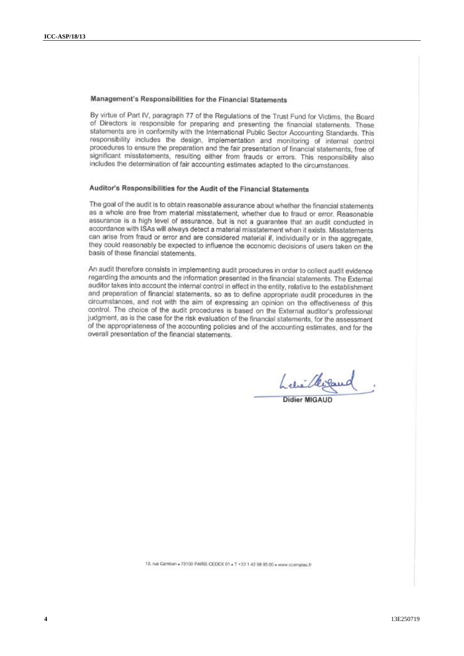### Management's Responsibilities for the Financial Statements

By virtue of Part IV, paragraph 77 of the Regulations of the Trust Fund for Victims, the Board of Directors is responsible for preparing and presenting the financial statements. These statements are in conformity with the International Public Sector Accounting Standards. This responsibility includes the design, implementation and monitoring of internal control procedures to ensure the preparation and the fair presentation of financial statements, free of significant misstatements, resulting either from frauds or errors. This responsibility also includes the determination of fair accounting estimates adapted to the circumstances.

### Auditor's Responsibilities for the Audit of the Financial Statements

The goal of the audit is to obtain reasonable assurance about whether the financial statements as a whole are free from material misstatement, whether due to fraud or error. Reasonable assurance is a high level of assurance, but is not a guarantee that an audit conducted in accordance with ISAs will always detect a material misstatement when it exists. Misstatements can arise from fraud or error and are considered material if, individually or in the aggregate, they could reasonably be expected to influence the economic decisions of users taken on the basis of these financial statements.

An audit therefore consists in implementing audit procedures in order to collect audit evidence regarding the amounts and the information presented in the financial statements. The External auditor takes into account the internal control in effect in the entity, relative to the establishment and preparation of financial statements, so as to define appropriate audit procedures in the circumstances, and not with the aim of expressing an opinion on the effectiveness of this control. The choice of the audit procedures is based on the External auditor's professional judgment, as is the case for the risk evaluation of the financial statements, for the assessment of the appropriateness of the accounting policies and of the accounting estimates, and for the overall presentation of the financial statements.

Lehilkisand

**Didier MIGAUD** 

13, rue Cambon = 75100 PARIS CEDEX 01 = T +33 1 42 98 95 00 = www.ccomptes.fr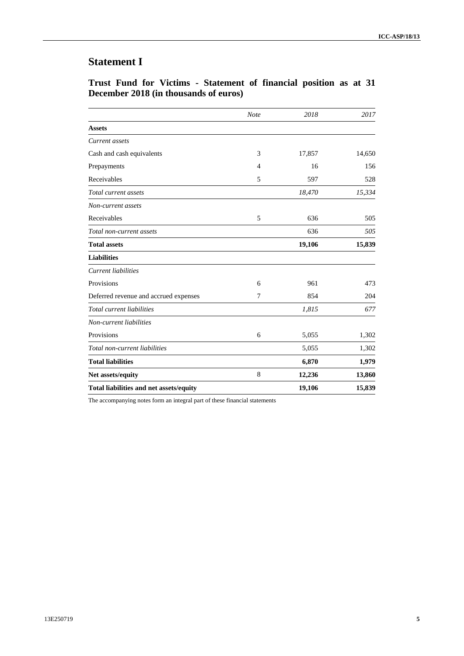# **Statement I**

|  |  | Trust Fund for Victims - Statement of financial position as at 31 |  |  |  |  |
|--|--|-------------------------------------------------------------------|--|--|--|--|
|  |  | December 2018 (in thousands of euros)                             |  |  |  |  |

|                                         | <b>Note</b> | 2018   | 2017   |
|-----------------------------------------|-------------|--------|--------|
| <b>Assets</b>                           |             |        |        |
| Current assets                          |             |        |        |
| Cash and cash equivalents               | 3           | 17,857 | 14,650 |
| Prepayments                             | 4           | 16     | 156    |
| Receivables                             | 5           | 597    | 528    |
| Total current assets                    |             | 18,470 | 15,334 |
| Non-current assets                      |             |        |        |
| Receivables                             | 5           | 636    | 505    |
| Total non-current assets                |             | 636    | 505    |
| <b>Total assets</b>                     |             | 19,106 | 15,839 |
| <b>Liabilities</b>                      |             |        |        |
| Current liabilities                     |             |        |        |
| Provisions                              | 6           | 961    | 473    |
| Deferred revenue and accrued expenses   | 7           | 854    | 204    |
| Total current liabilities               |             | 1,815  | 677    |
| Non-current liabilities                 |             |        |        |
| Provisions                              | 6           | 5,055  | 1,302  |
| Total non-current liabilities           |             | 5,055  | 1,302  |
| <b>Total liabilities</b>                |             | 6,870  | 1,979  |
| Net assets/equity                       | 8           | 12,236 | 13,860 |
| Total liabilities and net assets/equity |             | 19,106 | 15,839 |

The accompanying notes form an integral part of these financial statements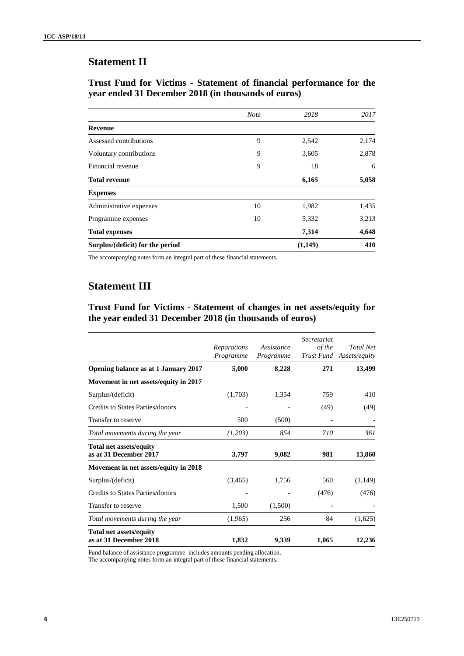## **Statement II**

### **Trust Fund for Victims - Statement of financial performance for the year ended 31 December 2018 (in thousands of euros)**

| Surplus/(deficit) for the period |             | (1,149) | 410   |
|----------------------------------|-------------|---------|-------|
| <b>Total expenses</b>            |             | 7,314   | 4,648 |
| Programme expenses               | 10          | 5,332   | 3,213 |
| Administrative expenses          | 10          | 1,982   | 1,435 |
| <b>Expenses</b>                  |             |         |       |
| <b>Total revenue</b>             |             | 6,165   | 5,058 |
| Financial revenue                | 9           | 18      | 6     |
| Voluntary contributions          | 9           | 3,605   | 2,878 |
| Assessed contributions           | 9           | 2,542   | 2,174 |
| <b>Revenue</b>                   |             |         |       |
|                                  | <b>Note</b> | 2018    | 2017  |

The accompanying notes form an integral part of these financial statements.

# **Statement III**

**Trust Fund for Victims - Statement of changes in net assets/equity for the year ended 31 December 2018 (in thousands of euros)**

|                                                          | Reparations<br>Programme | Assistance<br>Programme | Secretariat<br>of the | <b>Total Net</b><br>Trust Fund Assets/equity |
|----------------------------------------------------------|--------------------------|-------------------------|-----------------------|----------------------------------------------|
| Opening balance as at 1 January 2017                     | 5,000                    | 8,228                   | 271                   | 13,499                                       |
| Movement in net assets/equity in 2017                    |                          |                         |                       |                                              |
| Surplus/(deficit)                                        | (1,703)                  | 1,354                   | 759                   | 410                                          |
| Credits to States Parties/donors                         |                          |                         | (49)                  | (49)                                         |
| Transfer to reserve                                      | 500                      | (500)                   |                       |                                              |
| Total movements during the year                          | (1,203)                  | 854                     | 710                   | 361                                          |
| <b>Total net assets/equity</b><br>as at 31 December 2017 | 3,797                    | 9,082                   | 981                   | 13,860                                       |
| Movement in net assets/equity in 2018                    |                          |                         |                       |                                              |
| Surplus/(deficit)                                        | (3,465)                  | 1,756                   | 560                   | (1,149)                                      |
| Credits to States Parties/donors                         |                          |                         | (476)                 | (476)                                        |
| Transfer to reserve                                      | 1,500                    | (1,500)                 |                       |                                              |
| Total movements during the year                          | (1,965)                  | 256                     | 84                    | (1,625)                                      |
| <b>Total net assets/equity</b><br>as at 31 December 2018 | 1,832                    | 9,339                   | 1,065                 | 12,236                                       |

Fund balance of assistance programme includes amounts pending allocation.

The accompanying notes form an integral part of these financial statements.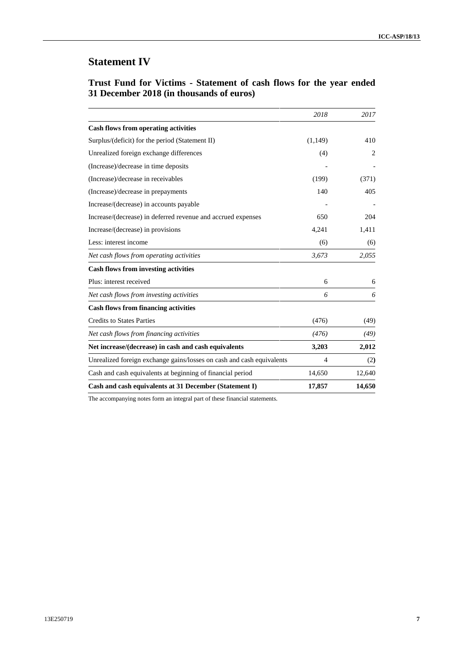# **Statement IV**

| Trust Fund for Victims - Statement of cash flows for the year ended |  |  |  |
|---------------------------------------------------------------------|--|--|--|
| 31 December 2018 (in thousands of euros)                            |  |  |  |

|                                                                       | 2018           | 2017           |
|-----------------------------------------------------------------------|----------------|----------------|
| <b>Cash flows from operating activities</b>                           |                |                |
| Surplus/(deficit) for the period (Statement II)                       | (1, 149)       | 410            |
| Unrealized foreign exchange differences                               | (4)            | $\overline{2}$ |
| (Increase)/decrease in time deposits                                  |                |                |
| (Increase)/decrease in receivables                                    | (199)          | (371)          |
| (Increase)/decrease in prepayments                                    | 140            | 405            |
| Increase/(decrease) in accounts payable                               |                |                |
| Increase/(decrease) in deferred revenue and accrued expenses          | 650            | 204            |
| Increase/(decrease) in provisions                                     | 4,241          | 1,411          |
| Less: interest income                                                 | (6)            | (6)            |
| Net cash flows from operating activities                              | 3,673          | 2,055          |
| <b>Cash flows from investing activities</b>                           |                |                |
| Plus: interest received                                               | 6              | 6              |
| Net cash flows from investing activities                              | 6              | 6              |
| <b>Cash flows from financing activities</b>                           |                |                |
| <b>Credits to States Parties</b>                                      | (476)          | (49)           |
| Net cash flows from financing activities                              | (476)          | (49)           |
| Net increase/(decrease) in cash and cash equivalents                  | 3,203          | 2,012          |
| Unrealized foreign exchange gains/losses on cash and cash equivalents | $\overline{4}$ | (2)            |
| Cash and cash equivalents at beginning of financial period            | 14,650         | 12,640         |
| Cash and cash equivalents at 31 December (Statement I)                | 17,857         | 14,650         |

The accompanying notes form an integral part of these financial statements.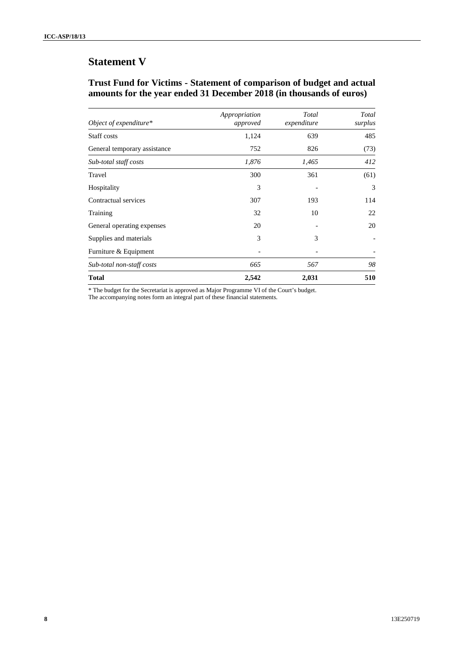# **Statement V**

### **Trust Fund for Victims - Statement of comparison of budget and actual amounts for the year ended 31 December 2018 (in thousands of euros)**

| Object of expenditure*       | Appropriation<br>approved | Total<br>expenditure | Total<br>surplus |
|------------------------------|---------------------------|----------------------|------------------|
| Staff costs                  | 1,124                     | 639                  | 485              |
| General temporary assistance | 752                       | 826                  | (73)             |
| Sub-total staff costs        | 1,876                     | 1,465                | 412              |
| Travel                       | 300                       | 361                  | (61)             |
| Hospitality                  | 3                         |                      | 3                |
| Contractual services         | 307                       | 193                  | 114              |
| Training                     | 32                        | 10                   | 22               |
| General operating expenses   | 20                        |                      | 20               |
| Supplies and materials       | 3                         | 3                    |                  |
| Furniture & Equipment        |                           |                      |                  |
| Sub-total non-staff costs    | 665                       | 567                  | 98               |
| <b>Total</b>                 | 2,542                     | 2,031                | 510              |

\* The budget for the Secretariat is approved as Major Programme VI of the Court's budget.

The accompanying notes form an integral part of these financial statements.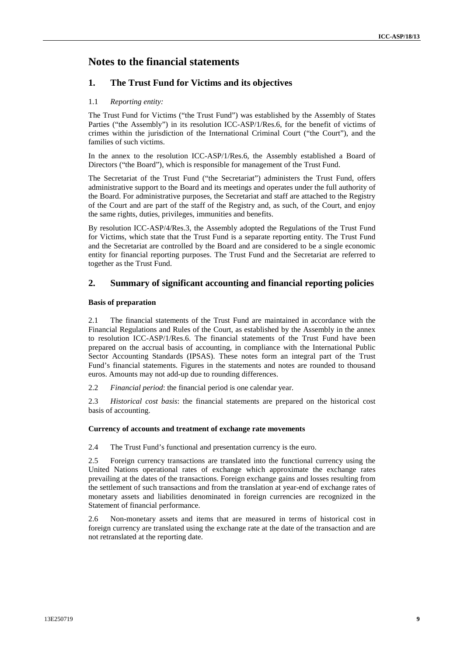### **Notes to the financial statements**

### **1. The Trust Fund for Victims and its objectives**

#### 1.1 *Reporting entity:*

The Trust Fund for Victims ("the Trust Fund") was established by the Assembly of States Parties ("the Assembly") in its resolution ICC-ASP/1/Res.6, for the benefit of victims of crimes within the jurisdiction of the International Criminal Court ("the Court"), and the families of such victims.

In the annex to the resolution ICC-ASP/1/Res.6, the Assembly established a Board of Directors ("the Board"), which is responsible for management of the Trust Fund.

The Secretariat of the Trust Fund ("the Secretariat") administers the Trust Fund, offers administrative support to the Board and its meetings and operates under the full authority of the Board. For administrative purposes, the Secretariat and staff are attached to the Registry of the Court and are part of the staff of the Registry and, as such, of the Court, and enjoy the same rights, duties, privileges, immunities and benefits.

By resolution ICC-ASP/4/Res.3, the Assembly adopted the Regulations of the Trust Fund for Victims, which state that the Trust Fund is a separate reporting entity. The Trust Fund and the Secretariat are controlled by the Board and are considered to be a single economic entity for financial reporting purposes. The Trust Fund and the Secretariat are referred to together as the Trust Fund.

### **2. Summary of significant accounting and financial reporting policies**

#### **Basis of preparation**

2.1 The financial statements of the Trust Fund are maintained in accordance with the Financial Regulations and Rules of the Court, as established by the Assembly in the annex to resolution ICC-ASP/1/Res.6. The financial statements of the Trust Fund have been prepared on the accrual basis of accounting, in compliance with the International Public Sector Accounting Standards (IPSAS). These notes form an integral part of the Trust Fund's financial statements. Figures in the statements and notes are rounded to thousand euros. Amounts may not add-up due to rounding differences.

2.2 *Financial period*: the financial period is one calendar year.

2.3 *Historical cost basis*: the financial statements are prepared on the historical cost basis of accounting.

#### **Currency of accounts and treatment of exchange rate movements**

2.4 The Trust Fund's functional and presentation currency is the euro.

2.5 Foreign currency transactions are translated into the functional currency using the United Nations operational rates of exchange which approximate the exchange rates prevailing at the dates of the transactions. Foreign exchange gains and losses resulting from the settlement of such transactions and from the translation at year-end of exchange rates of monetary assets and liabilities denominated in foreign currencies are recognized in the Statement of financial performance.

2.6 Non-monetary assets and items that are measured in terms of historical cost in foreign currency are translated using the exchange rate at the date of the transaction and are not retranslated at the reporting date.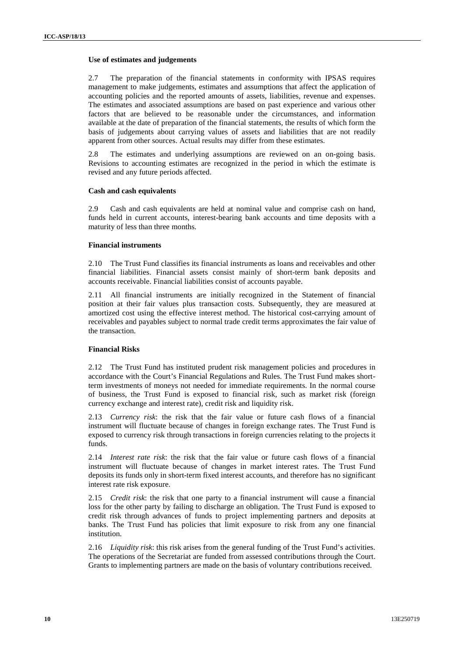#### **Use of estimates and judgements**

2.7 The preparation of the financial statements in conformity with IPSAS requires management to make judgements, estimates and assumptions that affect the application of accounting policies and the reported amounts of assets, liabilities, revenue and expenses. The estimates and associated assumptions are based on past experience and various other factors that are believed to be reasonable under the circumstances, and information available at the date of preparation of the financial statements, the results of which form the basis of judgements about carrying values of assets and liabilities that are not readily apparent from other sources. Actual results may differ from these estimates.

2.8 The estimates and underlying assumptions are reviewed on an on-going basis. Revisions to accounting estimates are recognized in the period in which the estimate is revised and any future periods affected.

#### **Cash and cash equivalents**

2.9 Cash and cash equivalents are held at nominal value and comprise cash on hand, funds held in current accounts, interest-bearing bank accounts and time deposits with a maturity of less than three months.

#### **Financial instruments**

2.10 The Trust Fund classifies its financial instruments as loans and receivables and other financial liabilities. Financial assets consist mainly of short-term bank deposits and accounts receivable. Financial liabilities consist of accounts payable.

2.11 All financial instruments are initially recognized in the Statement of financial position at their fair values plus transaction costs. Subsequently, they are measured at amortized cost using the effective interest method. The historical cost-carrying amount of receivables and payables subject to normal trade credit terms approximates the fair value of the transaction.

#### **Financial Risks**

2.12 The Trust Fund has instituted prudent risk management policies and procedures in accordance with the Court's Financial Regulations and Rules. The Trust Fund makes shortterm investments of moneys not needed for immediate requirements. In the normal course of business, the Trust Fund is exposed to financial risk, such as market risk (foreign currency exchange and interest rate), credit risk and liquidity risk.

2.13 *Currency risk*: the risk that the fair value or future cash flows of a financial instrument will fluctuate because of changes in foreign exchange rates. The Trust Fund is exposed to currency risk through transactions in foreign currencies relating to the projects it funds.

2.14 *Interest rate risk*: the risk that the fair value or future cash flows of a financial instrument will fluctuate because of changes in market interest rates. The Trust Fund deposits its funds only in short-term fixed interest accounts, and therefore has no significant interest rate risk exposure.

2.15 *Credit risk*: the risk that one party to a financial instrument will cause a financial loss for the other party by failing to discharge an obligation. The Trust Fund is exposed to credit risk through advances of funds to project implementing partners and deposits at banks. The Trust Fund has policies that limit exposure to risk from any one financial institution.

2.16 *Liquidity risk*: this risk arises from the general funding of the Trust Fund's activities. The operations of the Secretariat are funded from assessed contributions through the Court. Grants to implementing partners are made on the basis of voluntary contributions received.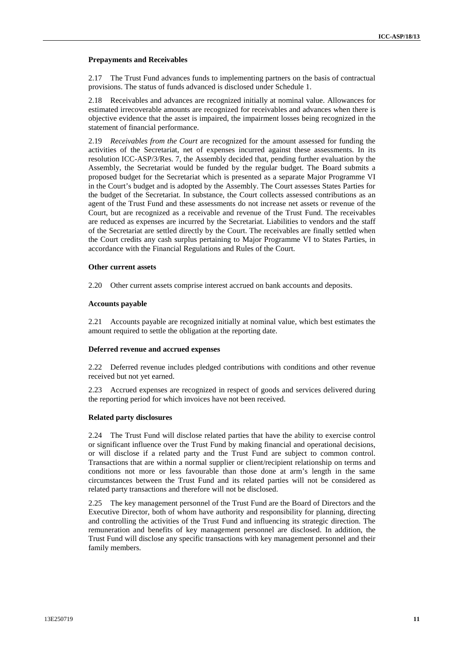#### **Prepayments and Receivables**

2.17 The Trust Fund advances funds to implementing partners on the basis of contractual provisions. The status of funds advanced is disclosed under Schedule 1.

2.18 Receivables and advances are recognized initially at nominal value. Allowances for estimated irrecoverable amounts are recognized for receivables and advances when there is objective evidence that the asset is impaired, the impairment losses being recognized in the statement of financial performance.

2.19 *Receivables from the Court* are recognized for the amount assessed for funding the activities of the Secretariat, net of expenses incurred against these assessments. In its resolution ICC-ASP/3/Res. 7, the Assembly decided that, pending further evaluation by the Assembly, the Secretariat would be funded by the regular budget. The Board submits a proposed budget for the Secretariat which is presented as a separate Major Programme VI in the Court's budget and is adopted by the Assembly. The Court assesses States Parties for the budget of the Secretariat. In substance, the Court collects assessed contributions as an agent of the Trust Fund and these assessments do not increase net assets or revenue of the Court, but are recognized as a receivable and revenue of the Trust Fund. The receivables are reduced as expenses are incurred by the Secretariat. Liabilities to vendors and the staff of the Secretariat are settled directly by the Court. The receivables are finally settled when the Court credits any cash surplus pertaining to Major Programme VI to States Parties, in accordance with the Financial Regulations and Rules of the Court.

#### **Other current assets**

2.20 Other current assets comprise interest accrued on bank accounts and deposits.

#### **Accounts payable**

2.21 Accounts payable are recognized initially at nominal value, which best estimates the amount required to settle the obligation at the reporting date.

#### **Deferred revenue and accrued expenses**

2.22 Deferred revenue includes pledged contributions with conditions and other revenue received but not yet earned.

2.23 Accrued expenses are recognized in respect of goods and services delivered during the reporting period for which invoices have not been received.

#### **Related party disclosures**

2.24 The Trust Fund will disclose related parties that have the ability to exercise control or significant influence over the Trust Fund by making financial and operational decisions, or will disclose if a related party and the Trust Fund are subject to common control. Transactions that are within a normal supplier or client/recipient relationship on terms and conditions not more or less favourable than those done at arm's length in the same circumstances between the Trust Fund and its related parties will not be considered as related party transactions and therefore will not be disclosed.

2.25 The key management personnel of the Trust Fund are the Board of Directors and the Executive Director, both of whom have authority and responsibility for planning, directing and controlling the activities of the Trust Fund and influencing its strategic direction. The remuneration and benefits of key management personnel are disclosed. In addition, the Trust Fund will disclose any specific transactions with key management personnel and their family members.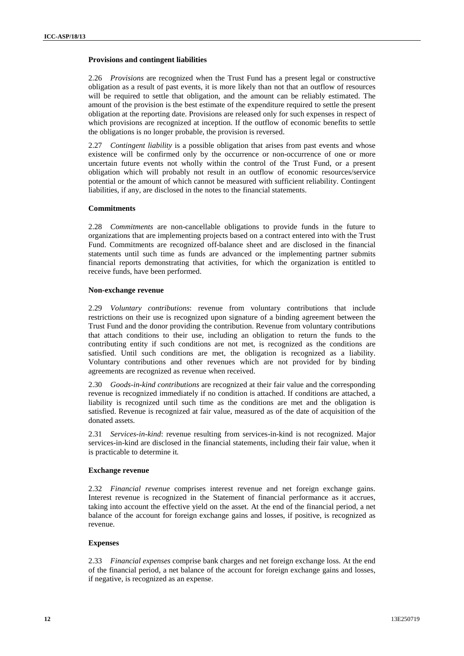#### **Provisions and contingent liabilities**

2.26 *Provisions* are recognized when the Trust Fund has a present legal or constructive obligation as a result of past events, it is more likely than not that an outflow of resources will be required to settle that obligation, and the amount can be reliably estimated. The amount of the provision is the best estimate of the expenditure required to settle the present obligation at the reporting date. Provisions are released only for such expenses in respect of which provisions are recognized at inception. If the outflow of economic benefits to settle the obligations is no longer probable, the provision is reversed.

2.27 *Contingent liability* is a possible obligation that arises from past events and whose existence will be confirmed only by the occurrence or non-occurrence of one or more uncertain future events not wholly within the control of the Trust Fund, or a present obligation which will probably not result in an outflow of economic resources/service potential or the amount of which cannot be measured with sufficient reliability. Contingent liabilities, if any, are disclosed in the notes to the financial statements.

#### **Commitments**

2.28 *Commitments* are non-cancellable obligations to provide funds in the future to organizations that are implementing projects based on a contract entered into with the Trust Fund. Commitments are recognized off-balance sheet and are disclosed in the financial statements until such time as funds are advanced or the implementing partner submits financial reports demonstrating that activities, for which the organization is entitled to receive funds, have been performed.

#### **Non-exchange revenue**

2.29 *Voluntary contributions*: revenue from voluntary contributions that include restrictions on their use is recognized upon signature of a binding agreement between the Trust Fund and the donor providing the contribution. Revenue from voluntary contributions that attach conditions to their use, including an obligation to return the funds to the contributing entity if such conditions are not met, is recognized as the conditions are satisfied. Until such conditions are met, the obligation is recognized as a liability. Voluntary contributions and other revenues which are not provided for by binding agreements are recognized as revenue when received.

2.30 *Goods-in-kind contributions* are recognized at their fair value and the corresponding revenue is recognized immediately if no condition is attached. If conditions are attached, a liability is recognized until such time as the conditions are met and the obligation is satisfied. Revenue is recognized at fair value, measured as of the date of acquisition of the donated assets.

2.31 *Services-in-kind*: revenue resulting from services-in-kind is not recognized. Major services-in-kind are disclosed in the financial statements, including their fair value, when it is practicable to determine it*.*

#### **Exchange revenue**

2.32 *Financial revenue* comprises interest revenue and net foreign exchange gains. Interest revenue is recognized in the Statement of financial performance as it accrues, taking into account the effective yield on the asset. At the end of the financial period, a net balance of the account for foreign exchange gains and losses, if positive, is recognized as revenue.

#### **Expenses**

2.33 *Financial expenses* comprise bank charges and net foreign exchange loss. At the end of the financial period, a net balance of the account for foreign exchange gains and losses, if negative, is recognized as an expense.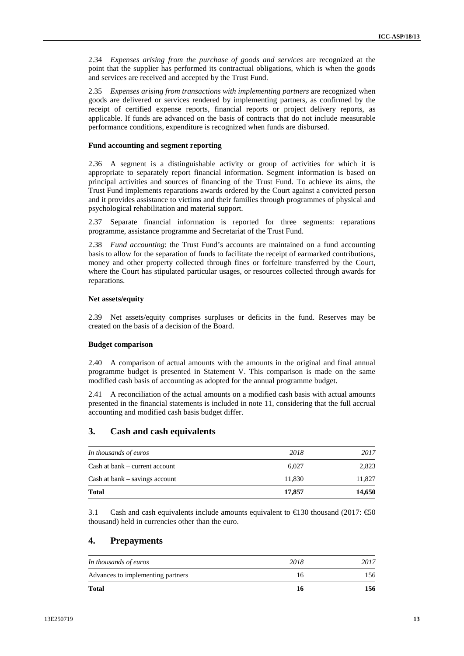2.34 *Expenses arising from the purchase of goods and services* are recognized at the point that the supplier has performed its contractual obligations, which is when the goods and services are received and accepted by the Trust Fund.

2.35 *Expenses arising from transactions with implementing partners* are recognized when goods are delivered or services rendered by implementing partners, as confirmed by the receipt of certified expense reports, financial reports or project delivery reports, as applicable. If funds are advanced on the basis of contracts that do not include measurable performance conditions, expenditure is recognized when funds are disbursed.

#### **Fund accounting and segment reporting**

2.36 A segment is a distinguishable activity or group of activities for which it is appropriate to separately report financial information. Segment information is based on principal activities and sources of financing of the Trust Fund. To achieve its aims, the Trust Fund implements reparations awards ordered by the Court against a convicted person and it provides assistance to victims and their families through programmes of physical and psychological rehabilitation and material support.

2.37 Separate financial information is reported for three segments: reparations programme, assistance programme and Secretariat of the Trust Fund.

2.38 *Fund accounting*: the Trust Fund's accounts are maintained on a fund accounting basis to allow for the separation of funds to facilitate the receipt of earmarked contributions, money and other property collected through fines or forfeiture transferred by the Court, where the Court has stipulated particular usages, or resources collected through awards for reparations.

#### **Net assets/equity**

2.39 Net assets/equity comprises surpluses or deficits in the fund. Reserves may be created on the basis of a decision of the Board.

#### **Budget comparison**

2.40 A comparison of actual amounts with the amounts in the original and final annual programme budget is presented in Statement V. This comparison is made on the same modified cash basis of accounting as adopted for the annual programme budget.

2.41 A reconciliation of the actual amounts on a modified cash basis with actual amounts presented in the financial statements is included in note 11, considering that the full accrual accounting and modified cash basis budget differ.

### **3. Cash and cash equivalents**

| 11.830 | 11,827 |
|--------|--------|
|        |        |
| 6.027  | 2,823  |
| 2018   | 2017   |
|        |        |

3.1 Cash and cash equivalents include amounts equivalent to  $\text{ } \in \text{ } 30$  thousand (2017:  $\text{ } \in \text{ } 50$ thousand) held in currencies other than the euro.

### **4. Prepayments**

| <b>Total</b>                      |      | 156  |
|-----------------------------------|------|------|
| Advances to implementing partners | 16   | 156  |
| In thousands of euros             | 2018 | 2017 |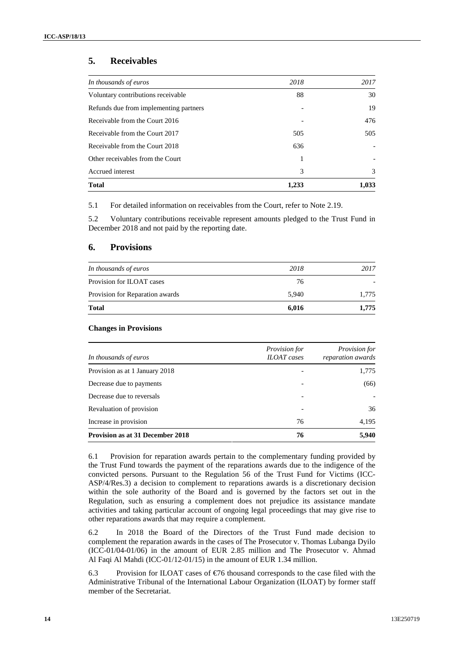### **5. Receivables**

| In thousands of euros                  | 2018  | 2017                     |
|----------------------------------------|-------|--------------------------|
| Voluntary contributions receivable     | 88    | 30                       |
| Refunds due from implementing partners |       | 19                       |
| Receivable from the Court 2016         |       | 476                      |
| Receivable from the Court 2017         | 505   | 505                      |
| Receivable from the Court 2018         | 636   |                          |
| Other receivables from the Court       |       | $\overline{\phantom{a}}$ |
| Accrued interest                       | 3     | 3                        |
| <b>Total</b>                           | 1,233 | 1,033                    |

5.1 For detailed information on receivables from the Court, refer to Note 2.19.

5.2 Voluntary contributions receivable represent amounts pledged to the Trust Fund in December 2018 and not paid by the reporting date.

#### **6. Provisions**

| <b>Total</b>                    | 6,016 | 1,775                    |
|---------------------------------|-------|--------------------------|
| Provision for Reparation awards | 5.940 | 1.775                    |
| Provision for ILOAT cases       | 76    | $\overline{\phantom{0}}$ |
| In thousands of euros           | 2018  | 2017                     |

#### **Changes in Provisions**

| In thousands of euros                   | <i>Provision for</i><br><b>ILOAT</b> cases | <i>Provision for</i><br>reparation awards |
|-----------------------------------------|--------------------------------------------|-------------------------------------------|
| Provision as at 1 January 2018          |                                            | 1,775                                     |
| Decrease due to payments                | $\overline{\phantom{0}}$                   | (66)                                      |
| Decrease due to reversals               |                                            | $\overline{\phantom{a}}$                  |
| Revaluation of provision                | $\overline{\phantom{0}}$                   | 36                                        |
| Increase in provision                   | 76                                         | 4,195                                     |
| <b>Provision as at 31 December 2018</b> | 76                                         | 5,940                                     |

6.1 Provision for reparation awards pertain to the complementary funding provided by the Trust Fund towards the payment of the reparations awards due to the indigence of the convicted persons. Pursuant to the Regulation 56 of the Trust Fund for Victims (ICC- ASP/4/Res.3) a decision to complement to reparations awards is a discretionary decision within the sole authority of the Board and is governed by the factors set out in the Regulation, such as ensuring a complement does not prejudice its assistance mandate activities and taking particular account of ongoing legal proceedings that may give rise to other reparations awards that may require a complement.

6.2 In 2018 the Board of the Directors of the Trust Fund made decision to complement the reparation awards in the cases of The Prosecutor v. Thomas Lubanga Dyilo (ICC-01/04-01/06) in the amount of EUR 2.85 million and The Prosecutor v. Ahmad Al Faqi Al Mahdi (ICC-01/12-01/15) in the amount of EUR 1.34 million.

6.3 Provision for ILOAT cases of  $\epsilon$ 6 thousand corresponds to the case filed with the Administrative Tribunal of the International Labour Organization (ILOAT) by former staff member of the Secretariat.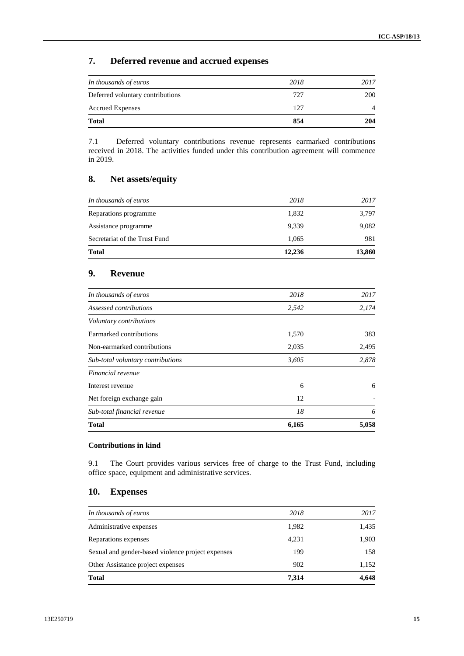### **7. Deferred revenue and accrued expenses**

| <b>Total</b>                     | 854  | 204  |
|----------------------------------|------|------|
| <b>Accrued Expenses</b>          | 127  |      |
| Deferred voluntary contributions | 727  | 200  |
| In thousands of euros            | 2018 | 2017 |

7.1 Deferred voluntary contributions revenue represents earmarked contributions received in 2018. The activities funded under this contribution agreement will commence in 2019.

### **8. Net assets/equity**

| <b>Total</b>                  | 12,236 | 13,860 |
|-------------------------------|--------|--------|
| Secretariat of the Trust Fund | 1,065  | 981    |
| Assistance programme          | 9,339  | 9,082  |
| Reparations programme         | 1,832  | 3,797  |
| In thousands of euros         | 2018   | 2017   |

### **9. Revenue**

| 6,165 | 5,058 |
|-------|-------|
| 18    | 6     |
| 12    |       |
| 6     | 6     |
|       |       |
| 3,605 | 2,878 |
| 2,035 | 2,495 |
| 1,570 | 383   |
|       |       |
| 2,542 | 2,174 |
| 2018  | 2017  |
|       |       |

#### **Contributions in kind**

9.1 The Court provides various services free of charge to the Trust Fund, including office space, equipment and administrative services.

### **10. Expenses**

|                                                   | 902   | 1,152 |
|---------------------------------------------------|-------|-------|
| Other Assistance project expenses                 |       |       |
| Sexual and gender-based violence project expenses | 199   | 158   |
| Reparations expenses                              | 4,231 | 1,903 |
| Administrative expenses                           | 1,982 | 1,435 |
| In thousands of euros                             | 2018  | 2017  |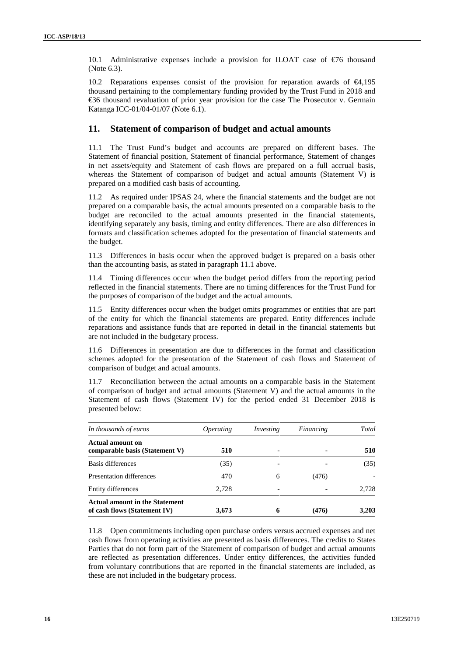10.1 Administrative expenses include a provision for ILOAT case of €76 thousand (Note 6.3).

10.2 Reparations expenses consist of the provision for reparation awards of €4,195 thousand pertaining to the complementary funding provided by the Trust Fund in 2018 and €36 thousand revaluation of prior year provision for the case The Prosecutor v. Germain Katanga ICC-01/04-01/07 (Note 6.1).

### **11. Statement of comparison of budget and actual amounts**

11.1 The Trust Fund's budget and accounts are prepared on different bases. The Statement of financial position, Statement of financial performance, Statement of changes in net assets/equity and Statement of cash flows are prepared on a full accrual basis, whereas the Statement of comparison of budget and actual amounts (Statement V) is prepared on a modified cash basis of accounting.

11.2 As required under IPSAS 24, where the financial statements and the budget are not prepared on a comparable basis, the actual amounts presented on a comparable basis to the budget are reconciled to the actual amounts presented in the financial statements, identifying separately any basis, timing and entity differences. There are also differences in formats and classification schemes adopted for the presentation of financial statements and the budget.

11.3 Differences in basis occur when the approved budget is prepared on a basis other than the accounting basis, as stated in paragraph 11.1 above.

11.4 Timing differences occur when the budget period differs from the reporting period reflected in the financial statements. There are no timing differences for the Trust Fund for the purposes of comparison of the budget and the actual amounts.

11.5 Entity differences occur when the budget omits programmes or entities that are part of the entity for which the financial statements are prepared. Entity differences include reparations and assistance funds that are reported in detail in the financial statements but are not included in the budgetary process.

11.6 Differences in presentation are due to differences in the format and classification schemes adopted for the presentation of the Statement of cash flows and Statement of comparison of budget and actual amounts.

11.7 Reconciliation between the actual amounts on a comparable basis in the Statement of comparison of budget and actual amounts (Statement V) and the actual amounts in the Statement of cash flows (Statement IV) for the period ended 31 December 2018 is presented below:

| In thousands of euros                                                 | <i>Operating</i> | Investing | Financing | Total                    |
|-----------------------------------------------------------------------|------------------|-----------|-----------|--------------------------|
| Actual amount on<br>comparable basis (Statement V)                    | 510              | ۰         |           | 510                      |
| Basis differences                                                     | (35)             |           |           | (35)                     |
| Presentation differences                                              | 470              | 6         | (476)     | $\overline{\phantom{a}}$ |
| Entity differences                                                    | 2,728            |           |           | 2,728                    |
| <b>Actual amount in the Statement</b><br>of cash flows (Statement IV) | 3,673            | 6         | (476)     | 3.203                    |

11.8 Open commitments including open purchase orders versus accrued expenses and net cash flows from operating activities are presented as basis differences. The credits to States Parties that do not form part of the Statement of comparison of budget and actual amounts are reflected as presentation differences. Under entity differences, the activities funded from voluntary contributions that are reported in the financial statements are included, as these are not included in the budgetary process.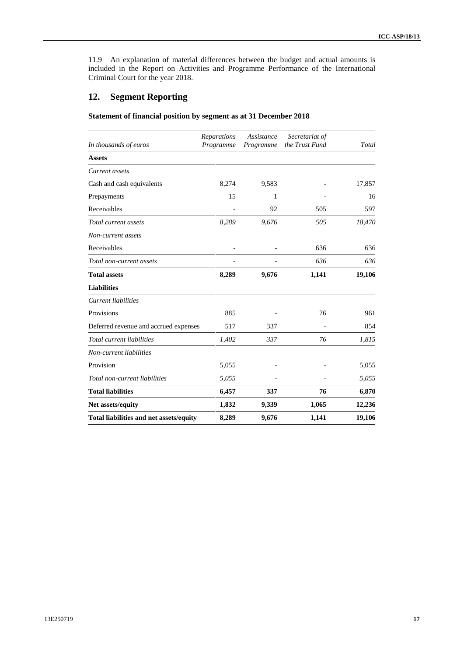11.9 An explanation of material differences between the budget and actual amounts is included in the Report on Activities and Programme Performance of the International Criminal Court for the year 2018.

### **12. Segment Reporting**

**Statement of financial position by segment as at 31 December 2018**

| In thousands of euros                   | Reparations<br>Programme | Assistance<br>Programme | Secretariat of<br>the Trust Fund | Total  |
|-----------------------------------------|--------------------------|-------------------------|----------------------------------|--------|
| <b>Assets</b>                           |                          |                         |                                  |        |
| Current assets                          |                          |                         |                                  |        |
| Cash and cash equivalents               | 8,274                    | 9,583                   |                                  | 17,857 |
| Prepayments                             | 15                       | 1                       |                                  | 16     |
| Receivables                             |                          | 92                      | 505                              | 597    |
| Total current assets                    | 8,289                    | 9,676                   | 505                              | 18,470 |
| Non-current assets                      |                          |                         |                                  |        |
| Receivables                             |                          |                         | 636                              | 636    |
| Total non-current assets                |                          |                         | 636                              | 636    |
| <b>Total assets</b>                     | 8,289                    | 9,676                   | 1,141                            | 19,106 |
| <b>Liabilities</b>                      |                          |                         |                                  |        |
| <b>Current</b> liabilities              |                          |                         |                                  |        |
| Provisions                              | 885                      |                         | 76                               | 961    |
| Deferred revenue and accrued expenses   | 517                      | 337                     |                                  | 854    |
| Total current liabilities               | 1,402                    | 337                     | 76                               | 1,815  |
| Non-current liabilities                 |                          |                         |                                  |        |
| Provision                               | 5,055                    |                         |                                  | 5,055  |
| Total non-current liabilities           | 5,055                    |                         |                                  | 5,055  |
| <b>Total liabilities</b>                | 6,457                    | 337                     | 76                               | 6,870  |
| Net assets/equity                       | 1,832                    | 9,339                   | 1,065                            | 12,236 |
| Total liabilities and net assets/equity | 8,289                    | 9,676                   | 1,141                            | 19,106 |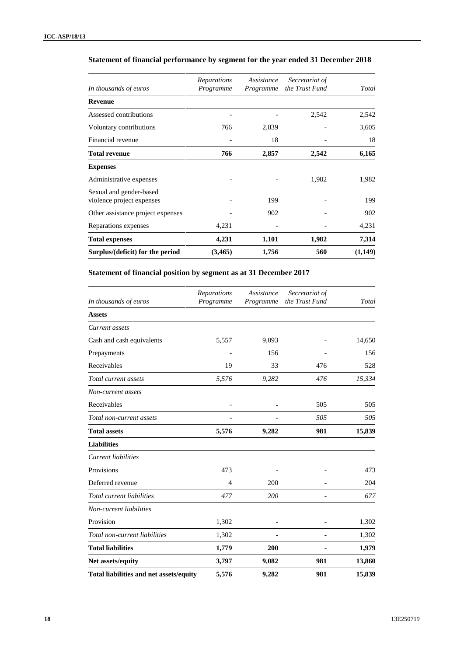| In thousands of euros                                | Reparations<br>Programme | Assistance<br>Programme | Secretariat of<br>the Trust Fund | Total   |
|------------------------------------------------------|--------------------------|-------------------------|----------------------------------|---------|
| Revenue                                              |                          |                         |                                  |         |
| Assessed contributions                               |                          |                         | 2,542                            | 2,542   |
| Voluntary contributions                              | 766                      | 2,839                   |                                  | 3,605   |
| Financial revenue                                    |                          | 18                      |                                  | 18      |
| <b>Total revenue</b>                                 | 766                      | 2,857                   | 2,542                            | 6,165   |
| <b>Expenses</b>                                      |                          |                         |                                  |         |
| Administrative expenses                              |                          |                         | 1,982                            | 1,982   |
| Sexual and gender-based<br>violence project expenses |                          | 199                     |                                  | 199     |
| Other assistance project expenses                    |                          | 902                     |                                  | 902     |
| Reparations expenses                                 | 4,231                    |                         |                                  | 4,231   |
| <b>Total expenses</b>                                | 4,231                    | 1,101                   | 1,982                            | 7,314   |
| Surplus/(deficit) for the period                     | (3,465)                  | 1,756                   | 560                              | (1,149) |

### **Statement of financial performance by segment for the year ended 31 December 2018**

### **Statement of financial position by segment as at 31 December 2017**

| In thousands of euros                   | Reparations<br>Programme | Assistance<br>Programme | Secretariat of<br>the Trust Fund | Total  |
|-----------------------------------------|--------------------------|-------------------------|----------------------------------|--------|
| <b>Assets</b>                           |                          |                         |                                  |        |
| Current assets                          |                          |                         |                                  |        |
| Cash and cash equivalents               | 5,557                    | 9,093                   |                                  | 14,650 |
| Prepayments                             |                          | 156                     |                                  | 156    |
| Receivables                             | 19                       | 33                      | 476                              | 528    |
| Total current assets                    | 5,576                    | 9,282                   | 476                              | 15,334 |
| Non-current assets                      |                          |                         |                                  |        |
| Receivables                             |                          |                         | 505                              | 505    |
| Total non-current assets                |                          |                         | 505                              | 505    |
| <b>Total assets</b>                     | 5,576                    | 9,282                   | 981                              | 15,839 |
| <b>Liabilities</b>                      |                          |                         |                                  |        |
| <b>Current liabilities</b>              |                          |                         |                                  |        |
| Provisions                              | 473                      |                         |                                  | 473    |
| Deferred revenue                        | $\overline{4}$           | 200                     |                                  | 204    |
| Total current liabilities               | 477                      | 200                     |                                  | 677    |
| Non-current liabilities                 |                          |                         |                                  |        |
| Provision                               | 1,302                    | ٠                       |                                  | 1,302  |
| Total non-current liabilities           | 1,302                    |                         |                                  | 1,302  |
| <b>Total liabilities</b>                | 1,779                    | 200                     |                                  | 1,979  |
| Net assets/equity                       | 3,797                    | 9,082                   | 981                              | 13,860 |
| Total liabilities and net assets/equity | 5,576                    | 9,282                   | 981                              | 15,839 |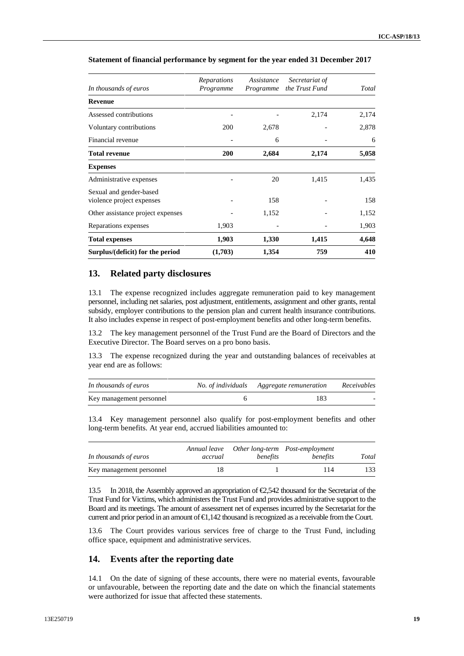| In thousands of euros                                | Reparations<br>Programme | Assistance<br>Programme | Secretariat of<br>the Trust Fund | Total |
|------------------------------------------------------|--------------------------|-------------------------|----------------------------------|-------|
| <b>Revenue</b>                                       |                          |                         |                                  |       |
| Assessed contributions                               |                          |                         | 2,174                            | 2,174 |
| Voluntary contributions                              | 200                      | 2,678                   |                                  | 2,878 |
| Financial revenue                                    |                          | 6                       |                                  | 6     |
| <b>Total revenue</b>                                 | <b>200</b>               | 2,684                   | 2,174                            | 5,058 |
| <b>Expenses</b>                                      |                          |                         |                                  |       |
| Administrative expenses                              |                          | 20                      | 1,415                            | 1,435 |
| Sexual and gender-based<br>violence project expenses |                          | 158                     |                                  | 158   |
| Other assistance project expenses                    |                          | 1,152                   |                                  | 1,152 |
| Reparations expenses                                 | 1,903                    |                         |                                  | 1,903 |
| <b>Total expenses</b>                                | 1,903                    | 1,330                   | 1,415                            | 4,648 |
| Surplus/(deficit) for the period                     | (1,703)                  | 1,354                   | 759                              | 410   |

#### **Statement of financial performance by segment for the year ended 31 December 2017**

#### **13. Related party disclosures**

13.1 The expense recognized includes aggregate remuneration paid to key management personnel, including net salaries, post adjustment, entitlements, assignment and other grants, rental subsidy, employer contributions to the pension plan and current health insurance contributions. It also includes expense in respect of post-employment benefits and other long-term benefits.

13.2 The key management personnel of the Trust Fund are the Board of Directors and the Executive Director. The Board serves on a pro bono basis.

13.3 The expense recognized during the year and outstanding balances of receivables at year end are as follows:

| In thousands of euros    | No. of individuals Aggregate remuneration | Receivables |
|--------------------------|-------------------------------------------|-------------|
| Key management personnel | 183                                       |             |

13.4 Key management personnel also qualify for post-employment benefits and other long-term benefits. At year end, accrued liabilities amounted to:

| In thousands of euros    | Annual leave<br>accrual | benefits | Other long-term Post-employment<br>benefits | Total |
|--------------------------|-------------------------|----------|---------------------------------------------|-------|
| Key management personnel |                         |          | 114                                         | 133   |

13.5 In 2018, the Assembly approved an appropriation of €2,542 thousand for the Secretariat of the Trust Fund for Victims, which administers the Trust Fund and provides administrative support to the Board and its meetings. The amount of assessment net of expenses incurred by the Secretariat for the current and prior period in an amount of  $\bigoplus$ , 142 thousand is recognized as a receivable from the Court.

13.6 The Court provides various services free of charge to the Trust Fund, including office space, equipment and administrative services.

#### **14. Events after the reporting date**

14.1 On the date of signing of these accounts, there were no material events, favourable or unfavourable, between the reporting date and the date on which the financial statements were authorized for issue that affected these statements.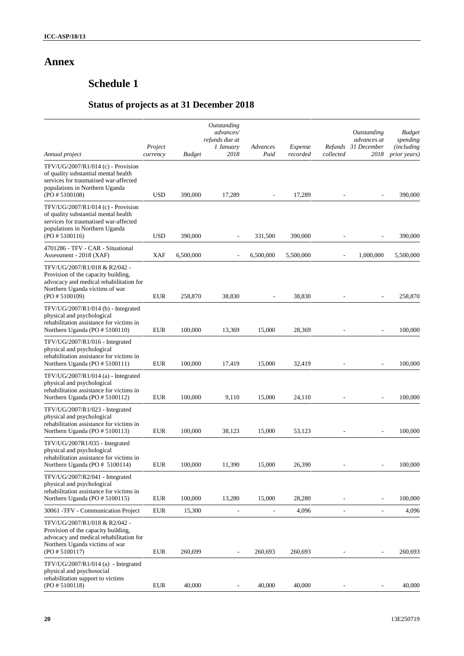# **Annex**

# **Schedule 1**

# **Status of projects as at 31 December 2018**

|                                                                                                                                                                         | Project     |               | Outstanding<br>advances/<br>refunds due at<br>1 January | Advances       | Expense   | Refunds                  | Outstanding<br>advances at<br>31 December | <b>Budget</b><br>spending<br><i>(including)</i> |
|-------------------------------------------------------------------------------------------------------------------------------------------------------------------------|-------------|---------------|---------------------------------------------------------|----------------|-----------|--------------------------|-------------------------------------------|-------------------------------------------------|
| Annual project                                                                                                                                                          | currency    | <b>Budget</b> | 2018                                                    | Paid           | recorded  | collected                | 2018                                      | prior years)                                    |
| TFV/UG/2007/R1/014 (c) - Provision<br>of quality substantial mental health<br>services for traumatised war-affected<br>populations in Northern Uganda<br>(PO#5100108)   | <b>USD</b>  | 390,000       | 17,289                                                  |                | 17,289    | $\overline{a}$           |                                           | 390,000                                         |
| $TFV/UG/2007/R1/014$ (c) - Provision<br>of quality substantial mental health<br>services for traumatised war-affected<br>populations in Northern Uganda<br>(PO#5100116) | <b>USD</b>  | 390,000       | $\overline{a}$                                          | 331,500        | 390,000   | ÷,                       | ÷,                                        | 390,000                                         |
| 4701286 - TFV - CAR - Situational<br>Assessment - 2018 (XAF)                                                                                                            | <b>XAF</b>  | 6,500,000     |                                                         | 6,500,000      | 5,500,000 |                          | 1,000,000                                 | 5,500,000                                       |
| TFV/UG/2007/R1/018 & R2/042 -<br>Provision of the capacity building,<br>advocacy and medical rehabilitation for<br>Northern Uganda victims of war<br>(PO#5100109)       | <b>EUR</b>  | 258,870       | 38,830                                                  |                | 38,830    | $\overline{\phantom{a}}$ | ÷,                                        | 258,870                                         |
| TFV/UG/2007/R1/014 (b) - Integrated<br>physical and psychological<br>rehabilitation assistance for victims in<br>Northern Uganda (PO # 5100110)                         | <b>EUR</b>  | 100,000       | 13,369                                                  | 15,000         | 28,369    |                          | ÷,                                        | 100,000                                         |
| $TFV/UG/2007/R1/016$ - Integrated<br>physical and psychological<br>rehabilitation assistance for victims in<br>Northern Uganda (PO # 5100111)                           | <b>EUR</b>  | 100,000       | 17,419                                                  | 15,000         | 32,419    | $\overline{\phantom{a}}$ |                                           | 100,000                                         |
| $TFV/UG/2007/R1/014$ (a) - Integrated<br>physical and psychological<br>rehabilitation assistance for victims in<br>Northern Uganda (PO # 5100112)                       | <b>EUR</b>  | 100,000       | 9,110                                                   | 15,000         | 24,110    | L,                       | ÷,                                        | 100,000                                         |
| TFV/UG/2007/R1/023 - Integrated<br>physical and psychological<br>rehabilitation assistance for victims in<br>Northern Uganda (PO # 5100113)                             | <b>EUR</b>  | 100,000       | 38,123                                                  | 15,000         | 53,123    | $\overline{\phantom{a}}$ | $\overline{\phantom{a}}$                  | 100,000                                         |
| TFV/UG/2007R1/035 - Integrated<br>physical and psychological<br>rehabilitation assistance for victims in<br>Northern Uganda (PO # 5100114)                              | <b>EUR</b>  | 100,000       | 11,390                                                  | 15,000         | 26,390    | $\overline{\phantom{0}}$ | $\overline{a}$                            | 100,000                                         |
| TFV/UG/2007/R2/041 - Integrated<br>physical and psychological<br>rehabilitation assistance for victims in<br>Northern Uganda (PO # 5100115)                             | <b>EUR</b>  | 100,000       | 13,280                                                  | 15,000         | 28,280    |                          |                                           | 100,000                                         |
| 30061 - TFV - Communication Project                                                                                                                                     | ${\rm EUR}$ | 15,300        | $\overline{a}$                                          | $\overline{a}$ | 4,096     | $\overline{\phantom{a}}$ | $\overline{\phantom{a}}$                  | 4,096                                           |
| TFV/UG/2007/R1/018 & R2/042 -<br>Provision of the capacity building,<br>advocacy and medical rehabilitation for<br>Northern Uganda victims of war<br>(PO#5100117)       | <b>EUR</b>  | 260,699       | $\overline{\phantom{a}}$                                | 260,693        | 260,693   | ÷,                       | ÷,                                        | 260,693                                         |
| TFV/UG/2007/R1/014 (a) - Integrated<br>physical and psychosocial<br>rehabilitation support to victims<br>(PO#5100118)                                                   | <b>EUR</b>  | 40,000        |                                                         | 40,000         | 40,000    |                          |                                           | 40,000                                          |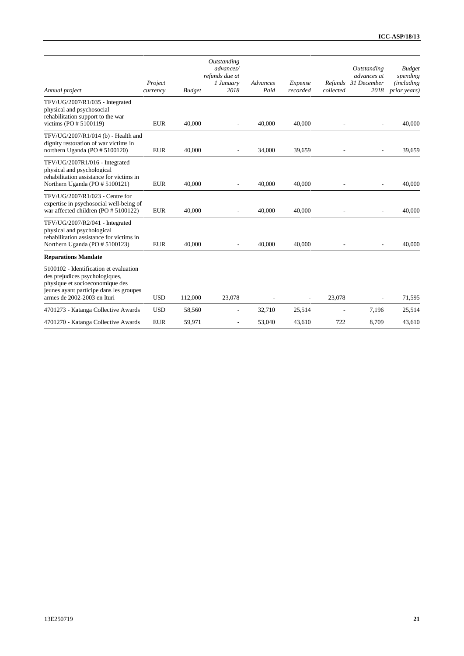| Annual project                                                                                                                                                                        | Project<br>currency | <b>Budget</b> | Outstanding<br>advances/<br>refunds due at<br>1 January<br>2018 | Advances<br>Paid | Expense<br>recorded      | Refunds<br>collected     | Outstanding<br>advances at<br>31 December<br>2018 | <b>Budget</b><br>spending<br><i>(including</i><br>prior years) |
|---------------------------------------------------------------------------------------------------------------------------------------------------------------------------------------|---------------------|---------------|-----------------------------------------------------------------|------------------|--------------------------|--------------------------|---------------------------------------------------|----------------------------------------------------------------|
| TFV/UG/2007/R1/035 - Integrated<br>physical and psychosocial<br>rehabilitation support to the war<br>victims (PO $# 5100119$ )                                                        | <b>EUR</b>          | 40,000        | $\overline{a}$                                                  | 40,000           | 40,000                   | ٠                        | $\overline{\phantom{a}}$                          | 40,000                                                         |
| TFV/UG/2007/R1/014 (b) - Health and<br>dignity restoration of war victims in<br>northern Uganda (PO # 5100120)                                                                        | <b>EUR</b>          | 40.000        | $\overline{\phantom{a}}$                                        | 34,000           | 39,659                   | $\overline{\phantom{a}}$ | $\overline{\phantom{a}}$                          | 39,659                                                         |
| TFV/UG/2007R1/016 - Integrated<br>physical and psychological<br>rehabilitation assistance for victims in<br>Northern Uganda (PO # 5100121)                                            | <b>EUR</b>          | 40,000        | $\overline{a}$                                                  | 40,000           | 40,000                   |                          | $\overline{\phantom{a}}$                          | 40,000                                                         |
| TFV/UG/2007/R1/023 - Centre for<br>expertise in psychosocial well-being of<br>war affected children (PO # 5100122)                                                                    | <b>EUR</b>          | 40,000        |                                                                 | 40,000           | 40,000                   |                          |                                                   | 40,000                                                         |
| TFV/UG/2007/R2/041 - Integrated<br>physical and psychological<br>rehabilitation assistance for victims in<br>Northern Uganda (PO # 5100123)                                           | <b>EUR</b>          | 40,000        | $\overline{\phantom{a}}$                                        | 40,000           | 40,000                   |                          | $\sim$                                            | 40,000                                                         |
| <b>Reparations Mandate</b>                                                                                                                                                            |                     |               |                                                                 |                  |                          |                          |                                                   |                                                                |
| 5100102 - Identification et evaluation<br>des prejudices psychologiques,<br>physique et socioeconomique des<br>jeunes ayant participe dans les groupes<br>armes de 2002-2003 en Ituri | <b>USD</b>          | 112,000       | 23,078                                                          |                  | $\overline{\phantom{a}}$ | 23,078                   | $\overline{\phantom{a}}$                          | 71,595                                                         |
| 4701273 - Katanga Collective Awards                                                                                                                                                   | <b>USD</b>          | 58,560        | $\overline{\phantom{a}}$                                        | 32,710           | 25,514                   | $\overline{\phantom{a}}$ | 7,196                                             | 25,514                                                         |
| 4701270 - Katanga Collective Awards                                                                                                                                                   | <b>EUR</b>          | 59.971        | ÷                                                               | 53,040           | 43.610                   | 722                      | 8.709                                             | 43.610                                                         |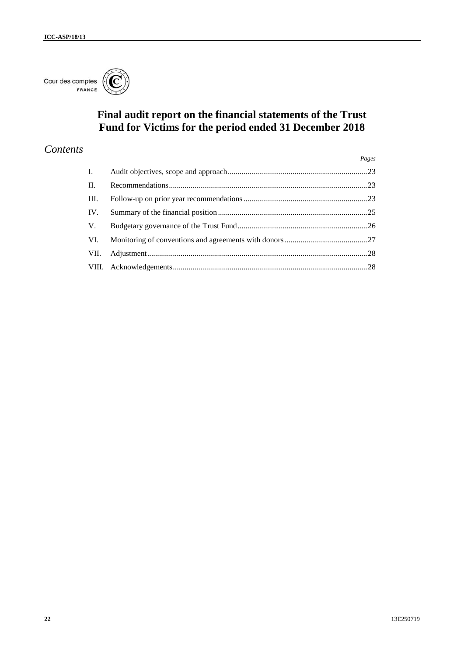

# **Final audit report on the financial statements of the Trust Fund for Victims for the period ended 31 December 2018**

# *Contents*

|                 | Pages |
|-----------------|-------|
| $\mathbf{I}$ .  |       |
| $\mathbf{II}$ . |       |
| III.            |       |
| IV.             |       |
| V.              |       |
| VI.             |       |
| VII.            |       |
|                 |       |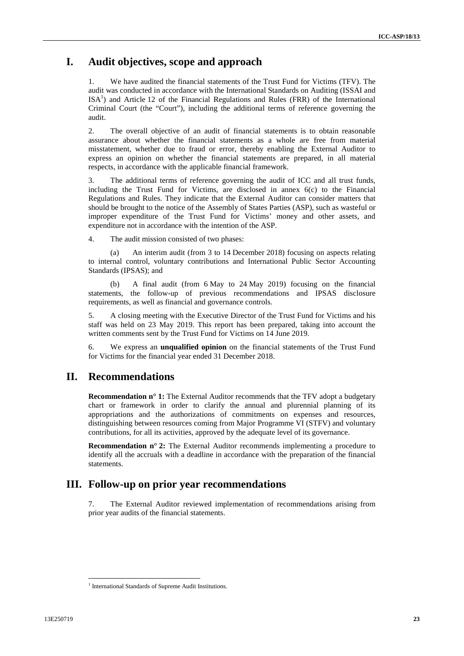### **I. Audit objectives, scope and approach**

1. We have audited the financial statements of the Trust Fund for Victims (TFV). The audit was conducted in accordance with the International Standards on Auditing (ISSAI and  $ISA<sup>1</sup>$  and Article 12 of the Financial Regulations and Rules (FRR) of the International Criminal Court (the "Court"), including the additional terms of reference governing the audit.

2. The overall objective of an audit of financial statements is to obtain reasonable assurance about whether the financial statements as a whole are free from material misstatement, whether due to fraud or error, thereby enabling the External Auditor to express an opinion on whether the financial statements are prepared, in all material respects, in accordance with the applicable financial framework.

3. The additional terms of reference governing the audit of ICC and all trust funds, including the Trust Fund for Victims, are disclosed in annex 6(c) to the Financial Regulations and Rules. They indicate that the External Auditor can consider matters that should be brought to the notice of the Assembly of States Parties (ASP), such as wasteful or improper expenditure of the Trust Fund for Victims' money and other assets, and expenditure not in accordance with the intention of the ASP.

4. The audit mission consisted of two phases:

(a) An interim audit (from 3 to 14 December 2018) focusing on aspects relating to internal control, voluntary contributions and International Public Sector Accounting Standards (IPSAS); and

(b) A final audit (from 6 May to 24 May 2019) focusing on the financial statements, the follow-up of previous recommendations and IPSAS disclosure requirements, as well as financial and governance controls.

5. A closing meeting with the Executive Director of the Trust Fund for Victims and his staff was held on 23 May 2019. This report has been prepared, taking into account the written comments sent by the Trust Fund for Victims on 14 June 2019.

6. We express an **unqualified opinion** on the financial statements of the Trust Fund for Victims for the financial year ended 31 December 2018.

### **II. Recommendations**

**Recommendation n° 1:** The External Auditor recommends that the TFV adopt a budgetary chart or framework in order to clarify the annual and plurennial planning of its appropriations and the authorizations of commitments on expenses and resources, distinguishing between resources coming from Major Programme VI (STFV) and voluntary contributions, for all its activities, approved by the adequate level of its governance.

**Recommendation n° 2:** The External Auditor recommends implementing a procedure to identify all the accruals with a deadline in accordance with the preparation of the financial statements.

### **III. Follow-up on prior year recommendations**

7. The External Auditor reviewed implementation of recommendations arising from prior year audits of the financial statements.

<sup>&</sup>lt;sup>1</sup> International Standards of Supreme Audit Institutions.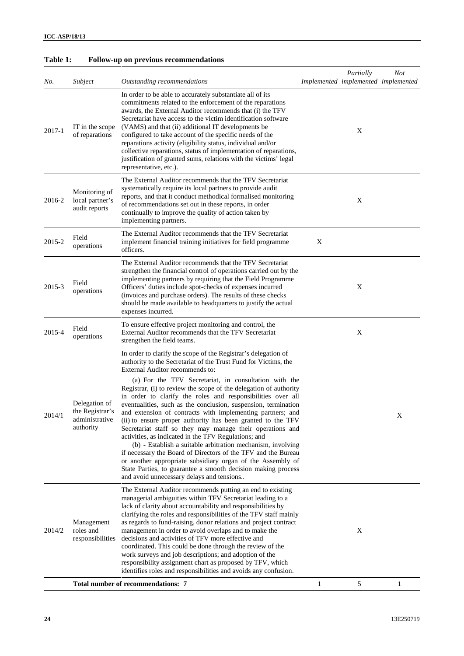| No.    | Subject                                                         | Outstanding recommendations                                                                                                                                                                                                                                                                                                                                                                                                                                                                                                                                                                                                                                                                                                                                                                                                                                                                                                                                                                      |   | Partially<br>Implemented implemented implemented | <b>Not</b> |
|--------|-----------------------------------------------------------------|--------------------------------------------------------------------------------------------------------------------------------------------------------------------------------------------------------------------------------------------------------------------------------------------------------------------------------------------------------------------------------------------------------------------------------------------------------------------------------------------------------------------------------------------------------------------------------------------------------------------------------------------------------------------------------------------------------------------------------------------------------------------------------------------------------------------------------------------------------------------------------------------------------------------------------------------------------------------------------------------------|---|--------------------------------------------------|------------|
| 2017-1 | IT in the scope<br>of reparations                               | In order to be able to accurately substantiate all of its<br>commitments related to the enforcement of the reparations<br>awards, the External Auditor recommends that (i) the TFV<br>Secretariat have access to the victim identification software<br>(VAMS) and that (ii) additional IT developments be<br>configured to take account of the specific needs of the<br>reparations activity (eligibility status, individual and/or<br>collective reparations, status of implementation of reparations,<br>justification of granted sums, relations with the victims' legal<br>representative, etc.).                                                                                                                                                                                                                                                                                                                                                                                            |   | X                                                |            |
| 2016-2 | Monitoring of<br>local partner's<br>audit reports               | The External Auditor recommends that the TFV Secretariat<br>systematically require its local partners to provide audit<br>reports, and that it conduct methodical formalised monitoring<br>of recommendations set out in these reports, in order<br>continually to improve the quality of action taken by<br>implementing partners.                                                                                                                                                                                                                                                                                                                                                                                                                                                                                                                                                                                                                                                              |   | X                                                |            |
| 2015-2 | Field<br>operations                                             | The External Auditor recommends that the TFV Secretariat<br>implement financial training initiatives for field programme<br>officers.                                                                                                                                                                                                                                                                                                                                                                                                                                                                                                                                                                                                                                                                                                                                                                                                                                                            | X |                                                  |            |
| 2015-3 | Field<br>operations                                             | The External Auditor recommends that the TFV Secretariat<br>strengthen the financial control of operations carried out by the<br>implementing partners by requiring that the Field Programme<br>Officers' duties include spot-checks of expenses incurred<br>(invoices and purchase orders). The results of these checks<br>should be made available to headquarters to justify the actual<br>expenses incurred.                                                                                                                                                                                                                                                                                                                                                                                                                                                                                                                                                                                 |   | X                                                |            |
| 2015-4 | Field<br>operations                                             | To ensure effective project monitoring and control, the<br>External Auditor recommends that the TFV Secretariat<br>strengthen the field teams.                                                                                                                                                                                                                                                                                                                                                                                                                                                                                                                                                                                                                                                                                                                                                                                                                                                   |   | X                                                |            |
| 2014/1 | Delegation of<br>the Registrar's<br>administrative<br>authority | In order to clarify the scope of the Registrar's delegation of<br>authority to the Secretariat of the Trust Fund for Victims, the<br>External Auditor recommends to:<br>(a) For the TFV Secretariat, in consultation with the<br>Registrar, (i) to review the scope of the delegation of authority<br>in order to clarify the roles and responsibilities over all<br>eventualities, such as the conclusion, suspension, termination<br>and extension of contracts with implementing partners; and<br>(ii) to ensure proper authority has been granted to the TFV<br>Secretariat staff so they may manage their operations and<br>activities, as indicated in the TFV Regulations; and<br>(b) - Establish a suitable arbitration mechanism, involving<br>if necessary the Board of Directors of the TFV and the Bureau<br>or another appropriate subsidiary organ of the Assembly of<br>State Parties, to guarantee a smooth decision making process<br>and avoid unnecessary delays and tensions |   |                                                  | X          |
| 2014/2 | Management<br>roles and<br>responsibilities                     | The External Auditor recommends putting an end to existing<br>managerial ambiguities within TFV Secretariat leading to a<br>lack of clarity about accountability and responsibilities by<br>clarifying the roles and responsibilities of the TFV staff mainly<br>as regards to fund-raising, donor relations and project contract<br>management in order to avoid overlaps and to make the<br>decisions and activities of TFV more effective and<br>coordinated. This could be done through the review of the<br>work surveys and job descriptions; and adoption of the<br>responsibility assignment chart as proposed by TFV, which<br>identifies roles and responsibilities and avoids any confusion.                                                                                                                                                                                                                                                                                          |   | X                                                |            |
|        |                                                                 | <b>Total number of recommendations: 7</b>                                                                                                                                                                                                                                                                                                                                                                                                                                                                                                                                                                                                                                                                                                                                                                                                                                                                                                                                                        | 1 | 5                                                | 1          |

### **Table 1: Follow-up on previous recommendations**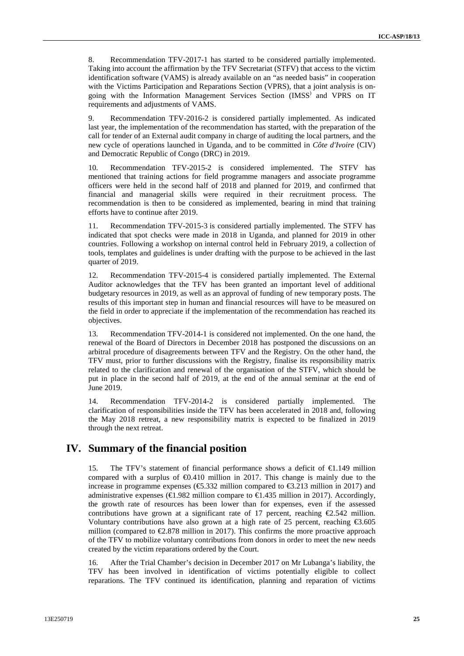8. Recommendation TFV-2017-1 has started to be considered partially implemented. Taking into account the affirmation by the TFV Secretariat (STFV) that access to the victim identification software (VAMS) is already available on an "as needed basis" in cooperation with the Victims Participation and Reparations Section (VPRS), that a joint analysis is on going with the Information Management Services Section (IMSS) and VPRS on IT requirements and adjustments of VAMS.

9. Recommendation TFV-2016-2 is considered partially implemented. As indicated last year, the implementation of the recommendation has started, with the preparation of the call for tender of an External audit company in charge of auditing the local partners, and the new cycle of operations launched in Uganda, and to be committed in *Côte d'Ivoire* (CIV) and Democratic Republic of Congo (DRC) in 2019.

10. Recommendation TFV-2015-2 is considered implemented. The STFV has mentioned that training actions for field programme managers and associate programme officers were held in the second half of 2018 and planned for 2019, and confirmed that financial and managerial skills were required in their recruitment process. The recommendation is then to be considered as implemented, bearing in mind that training efforts have to continue after 2019.

11. Recommendation TFV-2015-3 is considered partially implemented. The STFV has indicated that spot checks were made in 2018 in Uganda, and planned for 2019 in other countries. Following a workshop on internal control held in February 2019, a collection of tools, templates and guidelines is under drafting with the purpose to be achieved in the last quarter of 2019.

12. Recommendation TFV-2015-4 is considered partially implemented. The External Auditor acknowledges that the TFV has been granted an important level of additional budgetary resources in 2019, as well as an approval of funding of new temporary posts. The results of this important step in human and financial resources will have to be measured on the field in order to appreciate if the implementation of the recommendation has reached its objectives.

13. Recommendation TFV-2014-1 is considered not implemented. On the one hand, the renewal of the Board of Directors in December 2018 has postponed the discussions on an arbitral procedure of disagreements between TFV and the Registry. On the other hand, the TFV must, prior to further discussions with the Registry, finalise its responsibility matrix related to the clarification and renewal of the organisation of the STFV, which should be put in place in the second half of 2019, at the end of the annual seminar at the end of June 2019.

14. Recommendation TFV-2014-2 is considered partially implemented. The clarification of responsibilities inside the TFV has been accelerated in 2018 and, following the May 2018 retreat, a new responsibility matrix is expected to be finalized in 2019 through the next retreat.

### **IV. Summary of the financial position**

15. The TFV's statement of financial performance shows a deficit of  $\bigoplus$ . 149 million compared with a surplus of  $\Theta$ .410 million in 2017. This change is mainly due to the increase in programme expenses ( $\epsilon$ 5.332 million compared to  $\epsilon$ 3.213 million in 2017) and administrative expenses ( $\in$ 1.982 million compare to  $\in$ 1.435 million in 2017). Accordingly, the growth rate of resources has been lower than for expenses, even if the assessed contributions have grown at a significant rate of 17 percent, reaching  $\epsilon$ 2.542 million. Voluntary contributions have also grown at a high rate of 25 percent, reaching  $\epsilon$ 3.605 million (compared to  $\epsilon$ 2.878 million in 2017). This confirms the more proactive approach of the TFV to mobilize voluntary contributions from donors in order to meet the new needs created by the victim reparations ordered by the Court.

16. After the Trial Chamber's decision in December 2017 on Mr Lubanga's liability, the TFV has been involved in identification of victims potentially eligible to collect reparations. The TFV continued its identification, planning and reparation of victims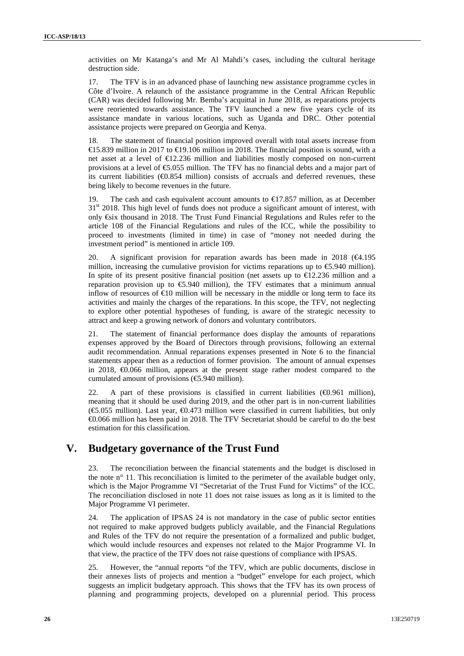activities on Mr Katanga's and Mr Al Mahdi's cases, including the cultural heritage destruction side.

17. The TFV is in an advanced phase of launching new assistance programme cycles in Côte d'Ivoire. A relaunch of the assistance programme in the Central African Republic (CAR) was decided following Mr. Bemba's acquittal in June 2018, as reparations projects were reoriented towards assistance. The TFV launched a new five years cycle of its assistance mandate in various locations, such as Uganda and DRC. Other potential assistance projects were prepared on Georgia and Kenya.

18. The statement of financial position improved overall with total assets increase from €15.839 million in 2017 to €19.106 million in 2018. The financial position is sound, with a net asset at a level of €12.236 million and liabilities mostly composed on non-current provisions at a level of  $\epsilon$ 5.055 million. The TFV has no financial debts and a major part of its current liabilities  $(\text{\textcircled{40.854}}$  million) consists of accruals and deferred revenues, these being likely to become revenues in the future.

19. The cash and cash equivalent account amounts to €17.857 million, as at December 31<sup>st</sup> 2018. This high level of funds does not produce a significant amount of interest, with only €six thousand in 2018. The Trust Fund Financial Regulations and Rules refer to the article 108 of the Financial Regulations and rules of the ICC, while the possibility to proceed to investments (limited in time) in case of "money not needed during the investment period" is mentioned in article 109.

20. A significant provision for reparation awards has been made in 2018  $(\epsilon 4.195$ million, increasing the cumulative provision for victims reparations up to  $\epsilon$ 5.940 million). In spite of its present positive financial position (net assets up to  $\epsilon$ 12.236 million and a reparation provision up to  $\epsilon$ 5.940 million), the TFV estimates that a minimum annual inflow of resources of  $\epsilon$ 10 million will be necessary in the middle or long term to face its activities and mainly the charges of the reparations. In this scope, the TFV, not neglecting to explore other potential hypotheses of funding, is aware of the strategic necessity to attract and keep a growing network of donors and voluntary contributors.

21. The statement of financial performance does display the amounts of reparations expenses approved by the Board of Directors through provisions, following an external audit recommendation. Annual reparations expenses presented in Note 6 to the financial statements appear then as a reduction of former provision. The amount of annual expenses in 2018, €0.066 million, appears at the present stage rather modest compared to the cumulated amount of provisions  $(\text{\e}5.940 \text{ million})$ .

22. A part of these provisions is classified in current liabilities  $(\mathcal{A}0.961 \text{ million})$ , meaning that it should be used during 2019, and the other part is in non-current liabilities (€5.055 million). Last year, €0.473 million were classified in current liabilities, but only €0.066 million has been paid in 2018. The TFV Secretariat should be careful to do the best estimation for this classification.

### **V. Budgetary governance of the Trust Fund**

23. The reconciliation between the financial statements and the budget is disclosed in the note n° 11. This reconciliation is limited to the perimeter of the available budget only, which is the Major Programme VI "Secretariat of the Trust Fund for Victims" of the ICC. The reconciliation disclosed in note 11 does not raise issues as long as it is limited to the Major Programme VI perimeter.

24. The application of IPSAS 24 is not mandatory in the case of public sector entities not required to make approved budgets publicly available, and the Financial Regulations and Rules of the TFV do not require the presentation of a formalized and public budget, which would include resources and expenses not related to the Major Programme VI. In that view, the practice of the TFV does not raise questions of compliance with IPSAS.

25. However, the "annual reports "of the TFV, which are public documents, disclose in their annexes lists of projects and mention a "budget" envelope for each project, which suggests an implicit budgetary approach. This shows that the TFV has its own process of planning and programming projects, developed on a plurennial period. This process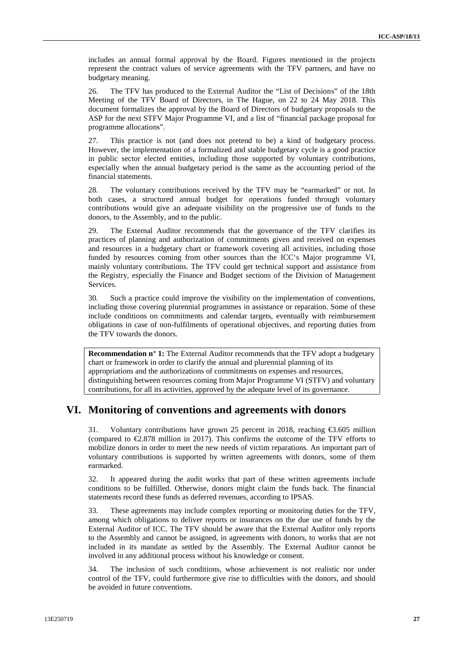includes an annual formal approval by the Board. Figures mentioned in the projects represent the contract values of service agreements with the TFV partners, and have no budgetary meaning.

26. The TFV has produced to the External Auditor the "List of Decisions" of the 18th Meeting of the TFV Board of Directors, in The Hague, on 22 to 24 May 2018. This document formalizes the approval by the Board of Directors of budgetary proposals to the ASP for the next STFV Major Programme VI, and a list of "financial package proposal for programme allocations".

27. This practice is not (and does not pretend to be) a kind of budgetary process. However, the implementation of a formalized and stable budgetary cycle is a good practice in public sector elected entities, including those supported by voluntary contributions, especially when the annual budgetary period is the same as the accounting period of the financial statements.

28. The voluntary contributions received by the TFV may be "earmarked" or not. In both cases, a structured annual budget for operations funded through voluntary contributions would give an adequate visibility on the progressive use of funds to the donors, to the Assembly, and to the public.

29. The External Auditor recommends that the governance of the TFV clarifies its practices of planning and authorization of commitments given and received on expenses and resources in a budgetary chart or framework covering all activities, including those funded by resources coming from other sources than the ICC's Major programme VI, mainly voluntary contributions. The TFV could get technical support and assistance from the Registry, especially the Finance and Budget sections of the Division of Management Services.

30. Such a practice could improve the visibility on the implementation of conventions, including those covering plurennial programmes in assistance or reparation. Some of these include conditions on commitments and calendar targets, eventually with reimbursement obligations in case of non-fulfilments of operational objectives, and reporting duties from the TFV towards the donors.

**Recommendation n° 1:** The External Auditor recommends that the TFV adopt a budgetary chart or framework in order to clarify the annual and plurennial planning of its appropriations and the authorizations of commitments on expenses and resources, distinguishing between resources coming from Major Programme VI (STFV) and voluntary contributions, for all its activities, approved by the adequate level of its governance.

### **VI. Monitoring of conventions and agreements with donors**

31. Voluntary contributions have grown 25 percent in 2018, reaching €3.605 million (compared to €2.878 million in 2017). This confirms the outcome of the TFV efforts to mobilize donors in order to meet the new needs of victim reparations. An important part of voluntary contributions is supported by written agreements with donors, some of them earmarked.

32. It appeared during the audit works that part of these written agreements include conditions to be fulfilled. Otherwise, donors might claim the funds back. The financial statements record these funds as deferred revenues, according to IPSAS.

33. These agreements may include complex reporting or monitoring duties for the TFV, among which obligations to deliver reports or insurances on the due use of funds by the External Auditor of ICC. The TFV should be aware that the External Auditor only reports to the Assembly and cannot be assigned, in agreements with donors, to works that are not included in its mandate as settled by the Assembly. The External Auditor cannot be involved in any additional process without his knowledge or consent.

34. The inclusion of such conditions, whose achievement is not realistic nor under control of the TFV, could furthermore give rise to difficulties with the donors, and should be avoided in future conventions.